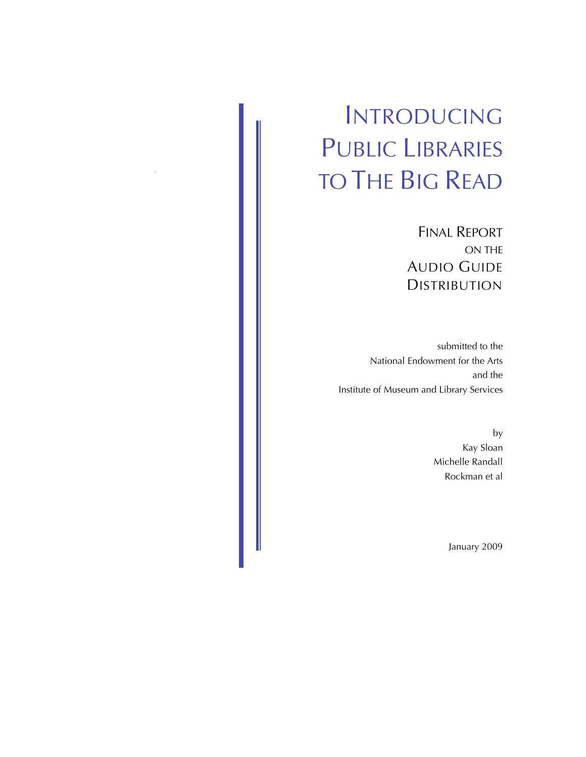# INTRODUCING PUBLIC LIBRARIES TO THE BIG READ

FINAL REPORT ON THE AUDIO GUIDE DISTRIBUTION

submitted to the National Endowment for the Arts and the Institute of Museum and Library Services

> by Kay Sloan Michelle Randall Rockman et al

> > January 2009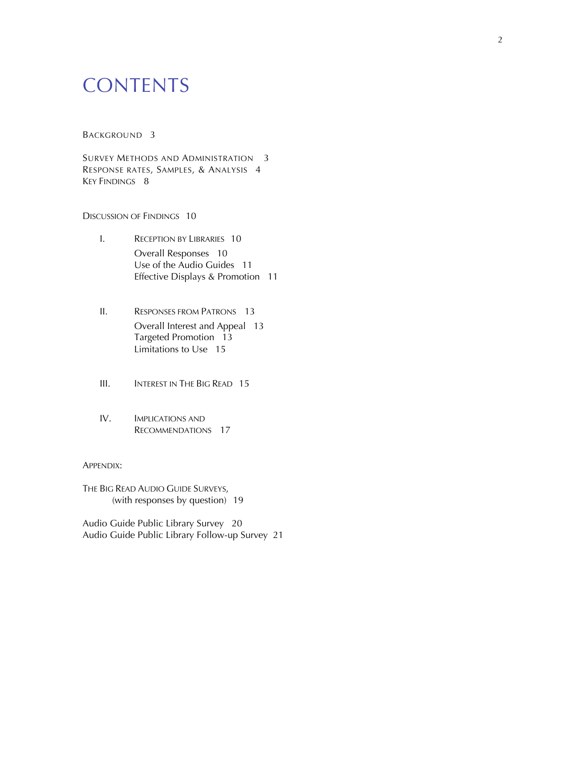## **CONTENTS**

#### BACKGROUND 3

SURVEY METHODS AND ADMINISTRATION 3 RESPONSE RATES, SAMPLES, & ANALYSIS 4 KEY FINDINGS 8

#### DISCUSSION OF FINDINGS 10

- I. RECEPTION BY LIBRARIES 10 Overall Responses 10 Use of the Audio Guides 11 Effective Displays & Promotion 11
- II. RESPONSES FROM PATRONS 13 Overall Interest and Appeal 13 Targeted Promotion 13 Limitations to Use 15
- III. **INTEREST IN THE BIG READ** 15
- IV. IMPLICATIONS AND RECOMMENDATIONS 17

#### APPENDIX:

THE BIG READ AUDIO GUIDE SURVEYS, (with responses by question) 19

Audio Guide Public Library Survey 20 Audio Guide Public Library Follow-up Survey 21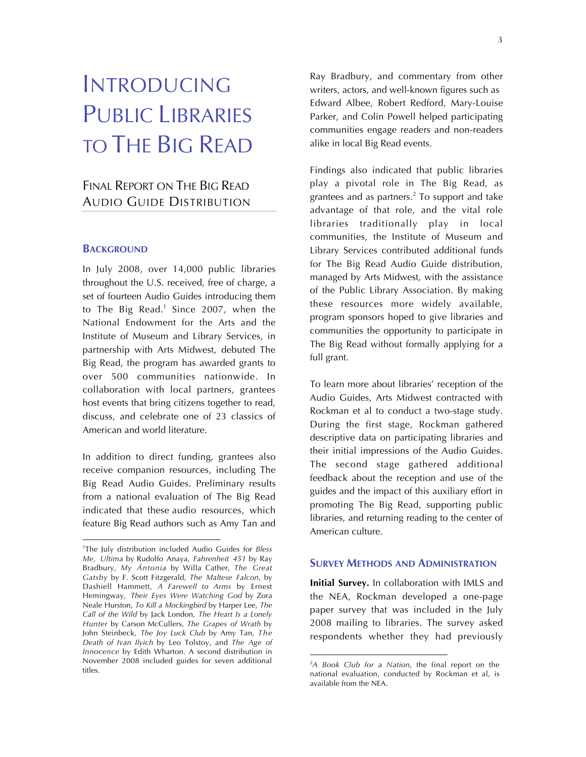## INTRODUCING PUBLIC LIBRARIES TO THE BIG READ

## FINAL REPORT ON THE BIG READ AUDIO GUIDE DISTRIBUTION

#### **BACKGROUND**

 $\overline{a}$ 

In July 2008, over 14,000 public libraries throughout the U.S. received, free of charge, a set of fourteen Audio Guides introducing them to The Big Read.<sup>1</sup> Since 2007, when the National Endowment for the Arts and the Institute of Museum and Library Services, in partnership with Arts Midwest, debuted The Big Read, the program has awarded grants to over 500 communities nationwide. In collaboration with local partners, grantees host events that bring citizens together to read, discuss, and celebrate one of 23 classics of American and world literature.

In addition to direct funding, grantees also receive companion resources, including The Big Read Audio Guides. Preliminary results from a national evaluation of The Big Read indicated that these audio resources, which feature Big Read authors such as Amy Tan and Ray Bradbury, and commentary from other writers, actors, and well-known figures such as Edward Albee, Robert Redford, Mary-Louise Parker, and Colin Powell helped participating communities engage readers and non-readers alike in local Big Read events.

Findings also indicated that public libraries play a pivotal role in The Big Read, as grantees and as partners. $<sup>2</sup>$  To support and take</sup> advantage of that role, and the vital role libraries traditionally play in local communities, the Institute of Museum and Library Services contributed additional funds for The Big Read Audio Guide distribution, managed by Arts Midwest, with the assistance of the Public Library Association. By making these resources more widely available, program sponsors hoped to give libraries and communities the opportunity to participate in The Big Read without formally applying for a full grant.

To learn more about libraries' reception of the Audio Guides, Arts Midwest contracted with Rockman et al to conduct a two-stage study. During the first stage, Rockman gathered descriptive data on participating libraries and their initial impressions of the Audio Guides. The second stage gathered additional feedback about the reception and use of the guides and the impact of this auxiliary effort in promoting The Big Read, supporting public libraries, and returning reading to the center of American culture.

#### **SURVEY METHODS AND ADMINISTRATION**

**Initial Survey.** In collaboration with IMLS and the NEA, Rockman developed a one-page paper survey that was included in the July 2008 mailing to libraries. The survey asked respondents whether they had previously

<sup>1</sup> The July distribution included Audio Guides for *Bless Me, Ultima* by Rudolfo Anaya, *Fahrenheit 451* by Ray Bradbury, *My Ántonia* by Willa Cather, *The Great Gatsby* by F. Scott Fitzgerald, *The Maltese Falcon*, by Dashiell Hammett, *A Farewell to Arms* by Ernest Hemingway, *Their Eyes Were Watching God* by Zora Neale Hurston, *To Kill a Mockingbird* by Harper Lee, *The Call of the Wild* by Jack London, *The Heart Is a Lonely Hunter* by Carson McCullers, *The Grapes of Wrath* by John Steinbeck, *The Joy Luck Club* by Amy Tan, *The Death of Ivan Ilyich* by Leo Tolstoy, and *The Age of Innocence* by Edith Wharton. A second distribution in November 2008 included guides for seven additional titles.

<sup>2</sup> *A Book Club for a Nation*, the final report on the national evaluation, conducted by Rockman et al, is available from the NEA.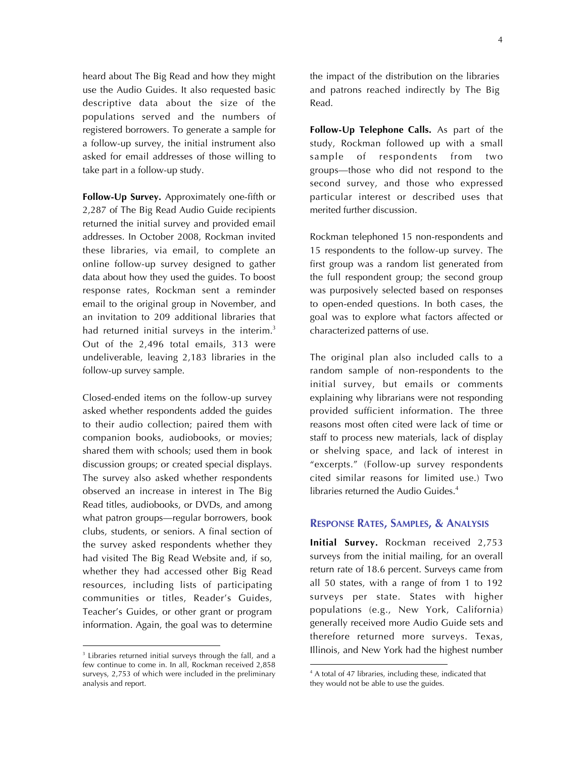heard about The Big Read and how they might use the Audio Guides. It also requested basic descriptive data about the size of the populations served and the numbers of registered borrowers. To generate a sample for a follow-up survey, the initial instrument also asked for email addresses of those willing to take part in a follow-up study.

**Follow-Up Survey.** Approximately one-fifth or 2,287 of The Big Read Audio Guide recipients returned the initial survey and provided email addresses. In October 2008, Rockman invited these libraries, via email, to complete an online follow-up survey designed to gather data about how they used the guides. To boost response rates, Rockman sent a reminder email to the original group in November, and an invitation to 209 additional libraries that had returned initial surveys in the interim.<sup>3</sup> Out of the 2,496 total emails, 313 were undeliverable, leaving 2,183 libraries in the follow-up survey sample.

Closed-ended items on the follow-up survey asked whether respondents added the guides to their audio collection; paired them with companion books, audiobooks, or movies; shared them with schools; used them in book discussion groups; or created special displays. The survey also asked whether respondents observed an increase in interest in The Big Read titles, audiobooks, or DVDs, and among what patron groups—regular borrowers, book clubs, students, or seniors. A final section of the survey asked respondents whether they had visited The Big Read Website and, if so, whether they had accessed other Big Read resources, including lists of participating communities or titles, Reader's Guides, Teacher's Guides, or other grant or program information. Again, the goal was to determine

<sup>3</sup> Libraries returned initial surveys through the fall, and a few continue to come in. In all, Rockman received 2,858 surveys, 2,753 of which were included in the preliminary analysis and report.

 $\overline{a}$ 

the impact of the distribution on the libraries and patrons reached indirectly by The Big Read.

**Follow-Up Telephone Calls.** As part of the study, Rockman followed up with a small sample of respondents from two groups—those who did not respond to the second survey, and those who expressed particular interest or described uses that merited further discussion.

Rockman telephoned 15 non-respondents and 15 respondents to the follow-up survey. The first group was a random list generated from the full respondent group; the second group was purposively selected based on responses to open-ended questions. In both cases, the goal was to explore what factors affected or characterized patterns of use.

The original plan also included calls to a random sample of non-respondents to the initial survey, but emails or comments explaining why librarians were not responding provided sufficient information. The three reasons most often cited were lack of time or staff to process new materials, lack of display or shelving space, and lack of interest in "excerpts." (Follow-up survey respondents cited similar reasons for limited use.) Two libraries returned the Audio Guides.<sup>4</sup>

#### **RESPONSE RATES, SAMPLES, & ANALYSIS**

**Initial Survey.** Rockman received 2,753 surveys from the initial mailing, for an overall return rate of 18.6 percent. Surveys came from all 50 states, with a range of from 1 to 192 surveys per state. States with higher populations (e.g., New York, California) generally received more Audio Guide sets and therefore returned more surveys. Texas, Illinois, and New York had the highest number

<sup>4</sup> A total of 47 libraries, including these, indicated that they would not be able to use the guides.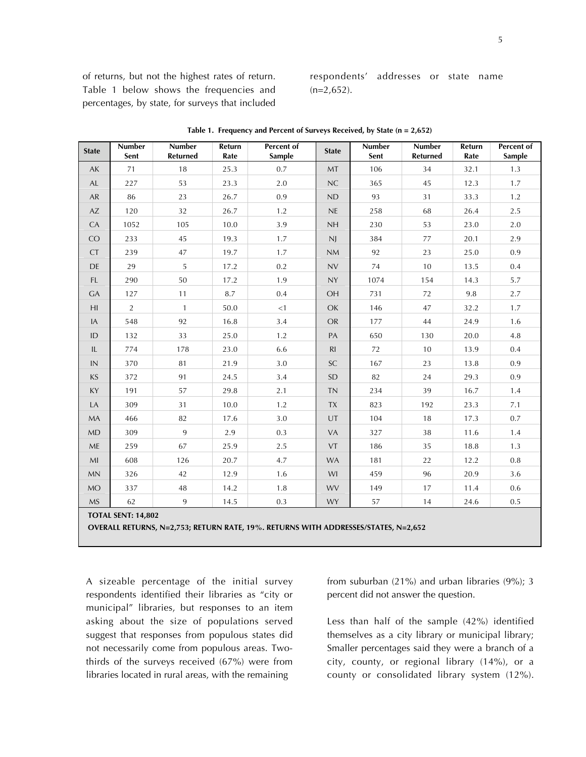of returns, but not the highest rates of return. Table 1 below shows the frequencies and percentages, by state, for surveys that included

respondents' addresses or state name  $(n=2,652)$ .

| <b>State</b>           | <b>Number</b><br>Sent                                                              | <b>Number</b><br><b>Returned</b> | Return<br>Rate | Percent of<br><b>Sample</b> | <b>State</b> | Number<br>Sent | Number<br><b>Returned</b> | Return<br>Rate | Percent of<br><b>Sample</b> |
|------------------------|------------------------------------------------------------------------------------|----------------------------------|----------------|-----------------------------|--------------|----------------|---------------------------|----------------|-----------------------------|
| AK                     | 71                                                                                 | 18                               | 25.3           | 0.7                         | <b>MT</b>    | 106            | 34                        | 32.1           | 1.3                         |
| AL                     | 227                                                                                | 53                               | 23.3           | 2.0                         | NC           | 365            | 45                        | 12.3           | 1.7                         |
| AR                     | 86                                                                                 | 23                               | 26.7           | 0.9                         | ND           | 93             | 31                        | 33.3           | 1.2                         |
| $\mathsf{A}\mathsf{Z}$ | 120                                                                                | 32                               | 26.7           | 1.2                         | NE           | 258            | 68                        | 26.4           | 2.5                         |
| CA                     | 1052                                                                               | 105                              | 10.0           | 3.9                         | NH           | 230            | 53                        | 23.0           | 2.0                         |
| CO                     | 233                                                                                | 45                               | 19.3           | 1.7                         | N            | 384            | 77                        | 20.1           | 2.9                         |
| CT                     | 239                                                                                | 47                               | 19.7           | 1.7                         | NM           | 92             | 23                        | 25.0           | 0.9                         |
| <b>DE</b>              | 29                                                                                 | 5                                | 17.2           | 0.2                         | NV           | 74             | 10                        | 13.5           | 0.4                         |
| FL.                    | 290                                                                                | 50                               | 17.2           | 1.9                         | <b>NY</b>    | 1074           | 154                       | 14.3           | 5.7                         |
| <b>GA</b>              | 127                                                                                | 11                               | 8.7            | 0.4                         | OH           | 731            | 72                        | 9.8            | 2.7                         |
| H <sub>l</sub>         | $\overline{2}$                                                                     | $\mathbf{1}$                     | 50.0           | <1                          | OK           | 146            | 47                        | 32.2           | 1.7                         |
| IA                     | 548                                                                                | 92                               | 16.8           | 3.4                         | <b>OR</b>    | 177            | 44                        | 24.9           | 1.6                         |
| ID                     | 132                                                                                | 33                               | 25.0           | 1.2                         | PA           | 650            | 130                       | 20.0           | 4.8                         |
| IL                     | 774                                                                                | 178                              | 23.0           | 6.6                         | R1           | 72             | 10                        | 13.9           | 0.4                         |
| $\textsf{IN}{}$        | 370                                                                                | 81                               | 21.9           | 3.0                         | <b>SC</b>    | 167            | 23                        | 13.8           | 0.9                         |
| <b>KS</b>              | 372                                                                                | 91                               | 24.5           | 3.4                         | <b>SD</b>    | 82             | 24                        | 29.3           | 0.9                         |
| KY                     | 191                                                                                | 57                               | 29.8           | 2.1                         | <b>TN</b>    | 234            | 39                        | 16.7           | 1.4                         |
| LA                     | 309                                                                                | 31                               | 10.0           | 1.2                         | <b>TX</b>    | 823            | 192                       | 23.3           | 7.1                         |
| MA                     | 466                                                                                | 82                               | 17.6           | $3.0\,$                     | UT           | 104            | 18                        | 17.3           | 0.7                         |
| MD                     | 309                                                                                | 9                                | 2.9            | 0.3                         | VA           | 327            | 38                        | 11.6           | 1.4                         |
| ME                     | 259                                                                                | 67                               | 25.9           | 2.5                         | <b>VT</b>    | 186            | 35                        | 18.8           | 1.3                         |
| MI                     | 608                                                                                | 126                              | 20.7           | 4.7                         | <b>WA</b>    | 181            | 22                        | 12.2           | 0.8                         |
| MN                     | 326                                                                                | 42                               | 12.9           | 1.6                         | WI           | 459            | 96                        | 20.9           | 3.6                         |
| <b>MO</b>              | 337                                                                                | 48                               | 14.2           | 1.8                         | <b>WV</b>    | 149            | 17                        | 11.4           | 0.6                         |
| <b>MS</b>              | 62                                                                                 | 9                                | 14.5           | 0.3                         | <b>WY</b>    | 57             | 14                        | 24.6           | 0.5                         |
|                        | <b>TOTAL SENT: 14,802</b>                                                          |                                  |                |                             |              |                |                           |                |                             |
|                        | OVERALL RETURNS, N=2,753; RETURN RATE, 19%. RETURNS WITH ADDRESSES/STATES, N=2,652 |                                  |                |                             |              |                |                           |                |                             |

**Table 1. Frequency and Percent of Surveys Received, by State (n = 2,652)**

A sizeable percentage of the initial survey respondents identified their libraries as "city or municipal" libraries, but responses to an item asking about the size of populations served suggest that responses from populous states did not necessarily come from populous areas. Twothirds of the surveys received (67%) were from libraries located in rural areas, with the remaining

from suburban (21%) and urban libraries (9%); 3 percent did not answer the question.

Less than half of the sample (42%) identified themselves as a city library or municipal library; Smaller percentages said they were a branch of a city, county, or regional library (14%), or a county or consolidated library system (12%).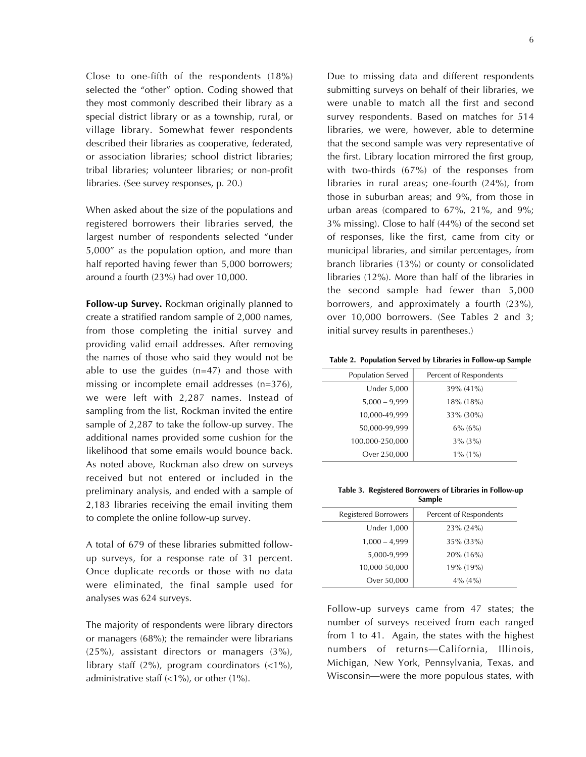Close to one-fifth of the respondents (18%) selected the "other" option. Coding showed that they most commonly described their library as a special district library or as a township, rural, or village library. Somewhat fewer respondents described their libraries as cooperative, federated, or association libraries; school district libraries; tribal libraries; volunteer libraries; or non-profit libraries. (See survey responses, p. 20.)

When asked about the size of the populations and registered borrowers their libraries served, the largest number of respondents selected "under 5,000" as the population option, and more than half reported having fewer than 5,000 borrowers; around a fourth (23%) had over 10,000.

**Follow-up Survey.** Rockman originally planned to create a stratified random sample of 2,000 names, from those completing the initial survey and providing valid email addresses. After removing the names of those who said they would not be able to use the guides (n=47) and those with missing or incomplete email addresses (n=376), we were left with 2,287 names. Instead of sampling from the list, Rockman invited the entire sample of 2,287 to take the follow-up survey. The additional names provided some cushion for the likelihood that some emails would bounce back. As noted above, Rockman also drew on surveys received but not entered or included in the preliminary analysis, and ended with a sample of 2,183 libraries receiving the email inviting them to complete the online follow-up survey.

A total of 679 of these libraries submitted followup surveys, for a response rate of 31 percent. Once duplicate records or those with no data were eliminated, the final sample used for analyses was 624 surveys.

The majority of respondents were library directors or managers (68%); the remainder were librarians (25%), assistant directors or managers (3%), library staff  $(2\%)$ , program coordinators  $(2\%)$ , administrative staff (<1%), or other (1%).

Due to missing data and different respondents submitting surveys on behalf of their libraries, we were unable to match all the first and second survey respondents. Based on matches for 514 libraries, we were, however, able to determine that the second sample was very representative of the first. Library location mirrored the first group, with two-thirds (67%) of the responses from libraries in rural areas; one-fourth (24%), from those in suburban areas; and 9%, from those in urban areas (compared to 67%, 21%, and 9%; 3% missing). Close to half (44%) of the second set of responses, like the first, came from city or municipal libraries, and similar percentages, from branch libraries (13%) or county or consolidated libraries (12%). More than half of the libraries in the second sample had fewer than 5,000 borrowers, and approximately a fourth (23%), over 10,000 borrowers. (See Tables 2 and 3; initial survey results in parentheses.)

**Table 2. Population Served by Libraries in Follow-up Sample**

| Population Served  | Percent of Respondents |
|--------------------|------------------------|
| <b>Under 5,000</b> | 39% (41%)              |
| $5,000 - 9,999$    | 18% (18%)              |
| 10,000-49,999      | 33% (30%)              |
| 50,000-99,999      | $6\%$ (6%)             |
| 100,000-250,000    | $3\%$ (3%)             |
| Over 250,000       | $1\%$ (1%)             |

**Table 3. Registered Borrowers of Libraries in Follow-up Sample**

| Registered Borrowers | Percent of Respondents |
|----------------------|------------------------|
| <b>Under 1,000</b>   | 23% (24%)              |
| $1,000 - 4,999$      | 35% (33%)              |
| 5,000-9,999          | 20% (16%)              |
| 10,000-50,000        | 19% (19%)              |
| Over 50,000          | $4\%$ (4%)             |

Follow-up surveys came from 47 states; the number of surveys received from each ranged from 1 to 41. Again, the states with the highest numbers of returns—California, Illinois, Michigan, New York, Pennsylvania, Texas, and Wisconsin—were the more populous states, with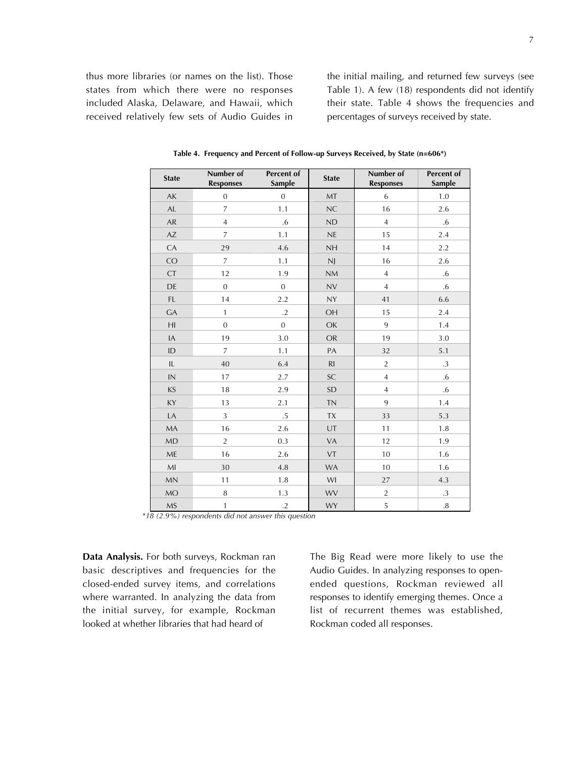thus more libraries (or names on the list). Those states from which there were no responses included Alaska, Delaware, and Hawaii, which received relatively few sets of Audio Guides in

the initial mailing, and returned few surveys (see Table 1). A few (18) respondents did not identify their state. Table 4 shows the frequencies and percentages of surveys received by state.

| <b>State</b>                                                                                                                       | Number of<br><b>Responses</b> | Percent of<br><b>Sample</b> | <b>State</b> | Number of<br><b>Responses</b> | Percent of<br>Sample |
|------------------------------------------------------------------------------------------------------------------------------------|-------------------------------|-----------------------------|--------------|-------------------------------|----------------------|
| AK                                                                                                                                 | $\mathbf{0}$                  | $\mathbf 0$                 | MT           | 6                             | 1.0                  |
| AL                                                                                                                                 | 7                             | 1.1                         | NC           | 16                            | 2.6                  |
| ${\sf AR}$                                                                                                                         | $\overline{4}$                | .6                          | ND           | $\overline{4}$                | $.6\phantom{0}$      |
| AZ                                                                                                                                 | $\overline{7}$                | 1.1                         | <b>NE</b>    | 15                            | 2.4                  |
| CA                                                                                                                                 | 29                            | 4.6                         | NH           | 14                            | 2.2                  |
| CO                                                                                                                                 | $\overline{7}$                | 1.1                         | N            | 16                            | 2.6                  |
| <b>CT</b>                                                                                                                          | 12                            | 1.9                         | <b>NM</b>    | $\overline{4}$                | .6                   |
| DE                                                                                                                                 | $\overline{0}$                | $\overline{0}$              | NV           | $\overline{4}$                | .6                   |
| $\mathsf{FL}$                                                                                                                      | 14                            | 2.2                         | <b>NY</b>    | 41                            | 6.6                  |
| GA                                                                                                                                 | $\mathbf{1}$                  | $.2\,$                      | OH           | 15                            | 2.4                  |
| H <sub>I</sub>                                                                                                                     | $\mathbf{0}$                  | $\mathbf{0}$                | OK           | 9                             | 1.4                  |
| IA                                                                                                                                 | 19                            | 3.0                         | <b>OR</b>    | 19                            | 3.0                  |
| ID                                                                                                                                 | $\overline{7}$                | 1.1                         | PA           | 32                            | 5.1                  |
| IL                                                                                                                                 | 40                            | 6.4                         | R1           | $\overline{2}$                | $\cdot$ 3            |
| IN                                                                                                                                 | 17                            | 2.7                         | <b>SC</b>    | $\overline{4}$                | .6                   |
| $\mathsf{KS}% _{M_{1},M_{2}}^{\alpha,\beta}(\mathcal{N}_{M_{1},M_{2}}^{\alpha,\beta}(\mathcal{N}% _{M_{1},M_{2}}^{\alpha,\beta}))$ | 18                            | 2.9                         | <b>SD</b>    | $\overline{4}$                | .6                   |
| KY                                                                                                                                 | 13                            | 2.1                         | <b>TN</b>    | 9                             | 1.4                  |
| LA                                                                                                                                 | $\mathbf{3}$                  | $.5\,$                      | TX           | 33                            | 5.3                  |
| <b>MA</b>                                                                                                                          | 16                            | 2.6                         | UT           | 11                            | 1.8                  |
| MD                                                                                                                                 | $\overline{2}$                | 0.3                         | VA           | 12                            | 1.9                  |
| ME                                                                                                                                 | 16                            | 2.6                         | VT           | 10                            | 1.6                  |
| $M\!I$                                                                                                                             | 30                            | 4.8                         | WA           | 10                            | 1.6                  |
| <b>MN</b>                                                                                                                          | 11                            | 1.8                         | WI           | 27                            | 4.3                  |
| MO                                                                                                                                 | $\, 8$                        | 1.3                         | <b>WV</b>    | $\overline{2}$                | .3                   |
| MS                                                                                                                                 | $\mathbf{1}$                  | $\cdot$ .2                  | <b>WY</b>    | 5                             | $.8\,$               |

**Table 4. Frequency and Percent of Follow-up Surveys Received, by State (n=606\*)**

*\*18 (2.9%) respondents did not answer this question*

**Data Analysis.** For both surveys, Rockman ran basic descriptives and frequencies for the closed-ended survey items, and correlations where warranted. In analyzing the data from the initial survey, for example, Rockman looked at whether libraries that had heard of

The Big Read were more likely to use the Audio Guides. In analyzing responses to openended questions, Rockman reviewed all responses to identify emerging themes. Once a list of recurrent themes was established, Rockman coded all responses.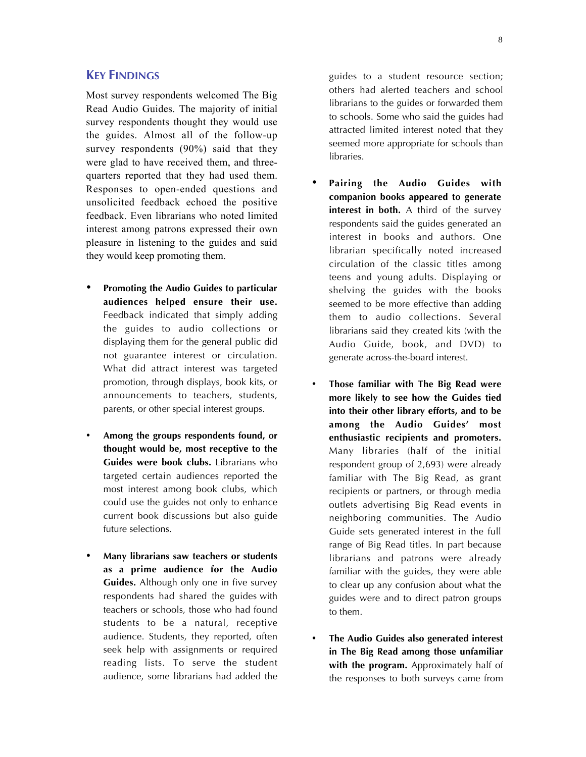Most survey respondents welcomed The Big Read Audio Guides. The majority of initial survey respondents thought they would use the guides. Almost all of the follow-up survey respondents (90%) said that they were glad to have received them, and threequarters reported that they had used them. Responses to open-ended questions and unsolicited feedback echoed the positive feedback. Even librarians who noted limited interest among patrons expressed their own pleasure in listening to the guides and said they would keep promoting them.

- **Promoting the Audio Guides to particular audiences helped ensure their use.** Feedback indicated that simply adding the guides to audio collections or displaying them for the general public did not guarantee interest or circulation. What did attract interest was targeted promotion, through displays, book kits, or announcements to teachers, students, parents, or other special interest groups.
- **Among the groups respondents found, or thought would be, most receptive to the Guides were book clubs.** Librarians who targeted certain audiences reported the most interest among book clubs, which could use the guides not only to enhance current book discussions but also guide future selections.
- **Many librarians saw teachers or students as a prime audience for the Audio Guides.** Although only one in five survey respondents had shared the guides with teachers or schools, those who had found students to be a natural, receptive audience. Students, they reported, often seek help with assignments or required reading lists. To serve the student audience, some librarians had added the

guides to a student resource section; others had alerted teachers and school librarians to the guides or forwarded them to schools. Some who said the guides had attracted limited interest noted that they seemed more appropriate for schools than libraries.

- **Pairing the Audio Guides with companion books appeared to generate interest in both.** A third of the survey respondents said the guides generated an interest in books and authors. One librarian specifically noted increased circulation of the classic titles among teens and young adults. Displaying or shelving the guides with the books seemed to be more effective than adding them to audio collections. Several librarians said they created kits (with the Audio Guide, book, and DVD) to generate across-the-board interest.
- **Those familiar with The Big Read were more likely to see how the Guides tied into their other library efforts, and to be among the Audio Guides' most enthusiastic recipients and promoters.** Many libraries (half of the initial respondent group of 2,693) were already familiar with The Big Read, as grant recipients or partners, or through media outlets advertising Big Read events in neighboring communities. The Audio Guide sets generated interest in the full range of Big Read titles. In part because librarians and patrons were already familiar with the guides, they were able to clear up any confusion about what the guides were and to direct patron groups to them.
- **The Audio Guides also generated interest in The Big Read among those unfamiliar with the program.** Approximately half of the responses to both surveys came from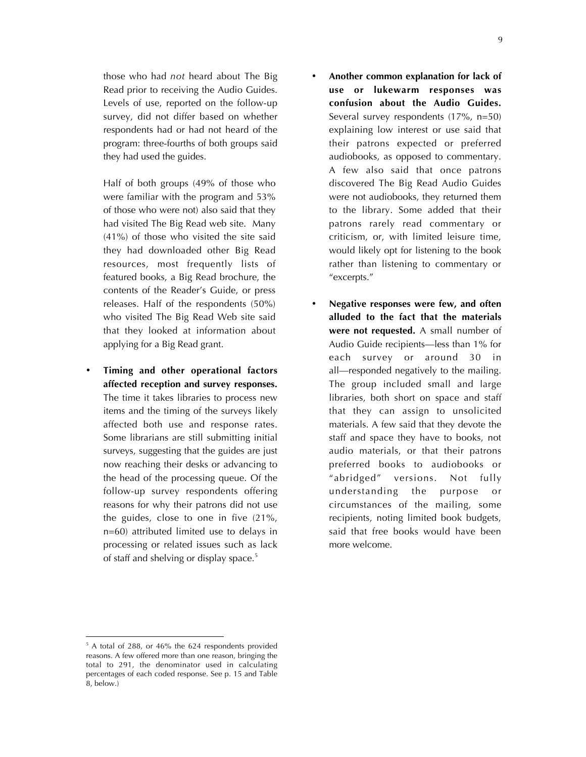those who had *not* heard about The Big Read prior to receiving the Audio Guides. Levels of use, reported on the follow-up survey, did not differ based on whether respondents had or had not heard of the program: three-fourths of both groups said they had used the guides.

Half of both groups (49% of those who were familiar with the program and 53% of those who were not) also said that they had visited The Big Read web site. Many (41%) of those who visited the site said they had downloaded other Big Read resources, most frequently lists of featured books, a Big Read brochure, the contents of the Reader's Guide, or press releases. Half of the respondents (50%) who visited The Big Read Web site said that they looked at information about applying for a Big Read grant.

• **Timing and other operational factors affected reception and survey responses.** The time it takes libraries to process new items and the timing of the surveys likely affected both use and response rates. Some librarians are still submitting initial surveys, suggesting that the guides are just now reaching their desks or advancing to the head of the processing queue. Of the follow-up survey respondents offering reasons for why their patrons did not use the guides, close to one in five (21%, n=60) attributed limited use to delays in processing or related issues such as lack of staff and shelving or display space.<sup>5</sup>

- **Another common explanation for lack of use or lukewarm responses was confusion about the Audio Guides.** Several survey respondents (17%, n=50) explaining low interest or use said that their patrons expected or preferred audiobooks, as opposed to commentary. A few also said that once patrons discovered The Big Read Audio Guides were not audiobooks, they returned them to the library. Some added that their patrons rarely read commentary or criticism, or, with limited leisure time, would likely opt for listening to the book rather than listening to commentary or "excerpts."
- **Negative responses were few, and often alluded to the fact that the materials were not requested.** A small number of Audio Guide recipients—less than 1% for each survey or around 30 in all—responded negatively to the mailing. The group included small and large libraries, both short on space and staff that they can assign to unsolicited materials. A few said that they devote the staff and space they have to books, not audio materials, or that their patrons preferred books to audiobooks or "abridged" versions. Not fully understanding the purpose or circumstances of the mailing, some recipients, noting limited book budgets, said that free books would have been more welcome.

<sup>5</sup> A total of 288, or 46% the 624 respondents provided reasons. A few offered more than one reason, bringing the total to 291, the denominator used in calculating percentages of each coded response. See p. 15 and Table 8, below.)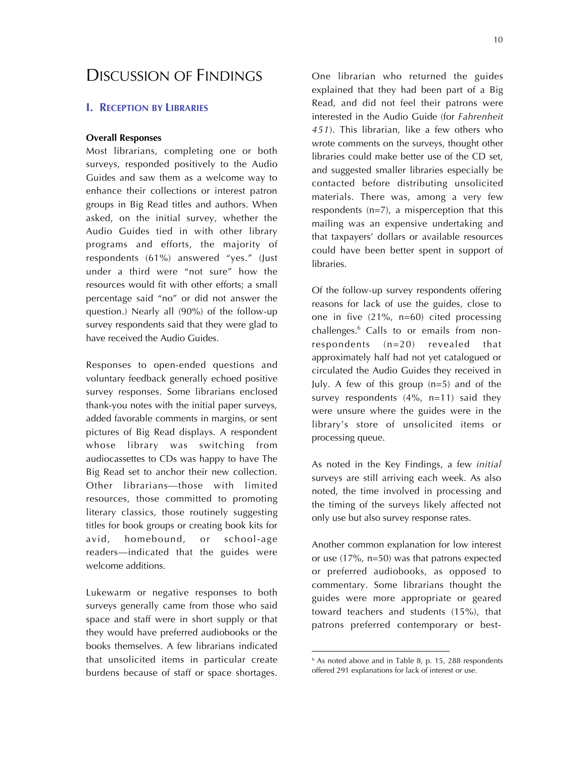## DISCUSSION OF FINDINGS

#### **I. RECEPTION BY LIBRARIES**

#### **Overall Responses**

Most librarians, completing one or both surveys, responded positively to the Audio Guides and saw them as a welcome way to enhance their collections or interest patron groups in Big Read titles and authors. When asked, on the initial survey, whether the Audio Guides tied in with other library programs and efforts, the majority of respondents (61%) answered "yes." (Just under a third were "not sure" how the resources would fit with other efforts; a small percentage said "no" or did not answer the question.) Nearly all (90%) of the follow-up survey respondents said that they were glad to have received the Audio Guides.

Responses to open-ended questions and voluntary feedback generally echoed positive survey responses. Some librarians enclosed thank-you notes with the initial paper surveys, added favorable comments in margins, or sent pictures of Big Read displays. A respondent whose library was switching from audiocassettes to CDs was happy to have The Big Read set to anchor their new collection. Other librarians—those with limited resources, those committed to promoting literary classics, those routinely suggesting titles for book groups or creating book kits for avid, homebound, or school-age readers—indicated that the guides were welcome additions.

Lukewarm or negative responses to both surveys generally came from those who said space and staff were in short supply or that they would have preferred audiobooks or the books themselves. A few librarians indicated that unsolicited items in particular create burdens because of staff or space shortages.

One librarian who returned the guides explained that they had been part of a Big Read, and did not feel their patrons were interested in the Audio Guide (for *Fahrenheit 451*). This librarian, like a few others who wrote comments on the surveys, thought other libraries could make better use of the CD set, and suggested smaller libraries especially be contacted before distributing unsolicited materials. There was, among a very few respondents (n=7), a misperception that this mailing was an expensive undertaking and that taxpayers' dollars or available resources could have been better spent in support of libraries.

Of the follow-up survey respondents offering reasons for lack of use the guides, close to one in five (21%, n=60) cited processing challenges.6 Calls to or emails from nonrespondents (n=20) revealed that approximately half had not yet catalogued or circulated the Audio Guides they received in July. A few of this group (n=5) and of the survey respondents (4%, n=11) said they were unsure where the guides were in the library's store of unsolicited items or processing queue.

As noted in the Key Findings, a few *initial* surveys are still arriving each week. As also noted, the time involved in processing and the timing of the surveys likely affected not only use but also survey response rates.

Another common explanation for low interest or use (17%, n=50) was that patrons expected or preferred audiobooks, as opposed to commentary. Some librarians thought the guides were more appropriate or geared toward teachers and students (15%), that patrons preferred contemporary or best-

 $6$  As noted above and in Table 8, p. 15, 288 respondents offered 291 explanations for lack of interest or use.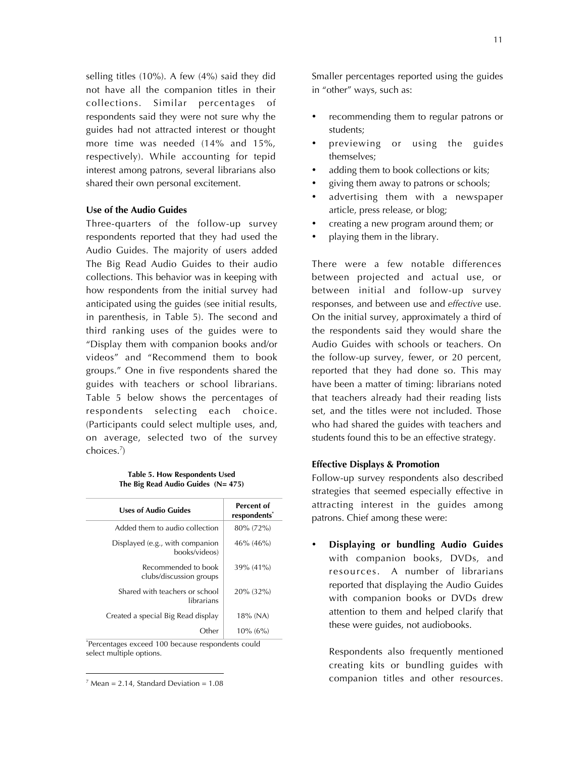selling titles (10%). A few (4%) said they did not have all the companion titles in their collections. Similar percentages of respondents said they were not sure why the guides had not attracted interest or thought more time was needed (14% and 15%, respectively). While accounting for tepid interest among patrons, several librarians also shared their own personal excitement.

#### **Use of the Audio Guides**

Three-quarters of the follow-up survey respondents reported that they had used the Audio Guides. The majority of users added The Big Read Audio Guides to their audio collections. This behavior was in keeping with how respondents from the initial survey had anticipated using the guides (see initial results, in parenthesis, in Table 5). The second and third ranking uses of the guides were to "Display them with companion books and/or videos" and "Recommend them to book groups." One in five respondents shared the guides with teachers or school librarians. Table 5 below shows the percentages of respondents selecting each choice. (Participants could select multiple uses, and, on average, selected two of the survey choices.<sup>7</sup> )

**Table 5. How Respondents Used The Big Read Audio Guides (N= 475)**

| Uses of Audio Guides                             | Percent of<br>respondents <sup>*</sup> |
|--------------------------------------------------|----------------------------------------|
| Added them to audio collection                   | 80% (72%)                              |
| Displayed (e.g., with companion<br>books/videos) | $46\%$ (46%)                           |
| Recommended to book<br>clubs/discussion groups   | 39% (41%)                              |
| Shared with teachers or school<br>librarians     | 20% (32%)                              |
| Created a special Big Read display               | 18% (NA)                               |
| Other                                            | $10\%$ (6%)                            |

\* Percentages exceed 100 because respondents could select multiple options.

 $\overline{a}$ 

Smaller percentages reported using the guides in "other" ways, such as:

- recommending them to regular patrons or students;
- previewing or using the guides themselves;
- adding them to book collections or kits;
- giving them away to patrons or schools;
- advertising them with a newspaper article, press release, or blog;
- creating a new program around them; or
- playing them in the library.

There were a few notable differences between projected and actual use, or between initial and follow-up survey responses, and between use and *effective* use. On the initial survey, approximately a third of the respondents said they would share the Audio Guides with schools or teachers. On the follow-up survey, fewer, or 20 percent, reported that they had done so. This may have been a matter of timing: librarians noted that teachers already had their reading lists set, and the titles were not included. Those who had shared the guides with teachers and students found this to be an effective strategy.

#### **Effective Displays & Promotion**

Follow-up survey respondents also described strategies that seemed especially effective in attracting interest in the guides among patrons. Chief among these were:

• **Displaying or bundling Audio Guides** with companion books, DVDs, and resources. A number of librarians reported that displaying the Audio Guides with companion books or DVDs drew attention to them and helped clarify that these were guides, not audiobooks.

Respondents also frequently mentioned creating kits or bundling guides with companion titles and other resources.

 $<sup>7</sup>$  Mean = 2.14, Standard Deviation = 1.08</sup>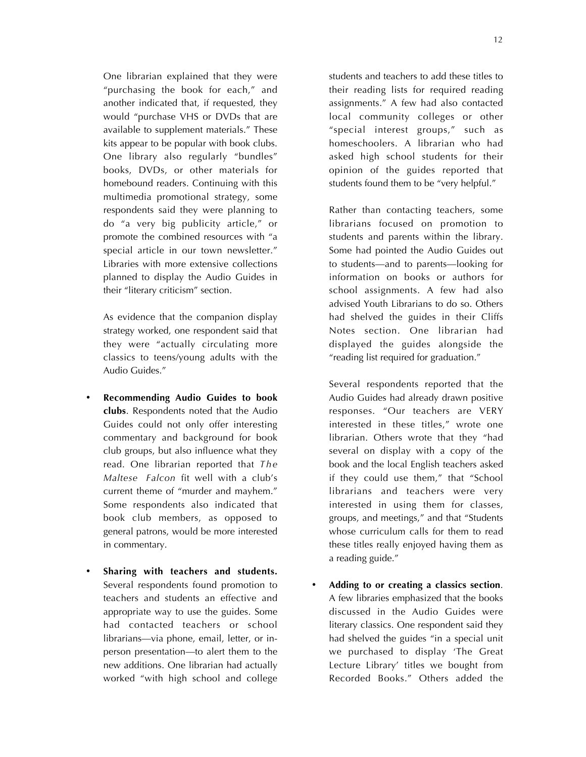12

One librarian explained that they were "purchasing the book for each," and another indicated that, if requested, they would "purchase VHS or DVDs that are available to supplement materials." These kits appear to be popular with book clubs. One library also regularly "bundles" books, DVDs, or other materials for homebound readers. Continuing with this multimedia promotional strategy, some respondents said they were planning to do "a very big publicity article," or promote the combined resources with "a special article in our town newsletter." Libraries with more extensive collections planned to display the Audio Guides in their "literary criticism" section.

As evidence that the companion display strategy worked, one respondent said that they were "actually circulating more classics to teens/young adults with the Audio Guides."

- **Recommending Audio Guides to book clubs**. Respondents noted that the Audio Guides could not only offer interesting commentary and background for book club groups, but also influence what they read. One librarian reported that *The Maltese Falcon* fit well with a club's current theme of "murder and mayhem." Some respondents also indicated that book club members, as opposed to general patrons, would be more interested in commentary.
- **Sharing with teachers and students.** Several respondents found promotion to teachers and students an effective and appropriate way to use the guides. Some had contacted teachers or school librarians—via phone, email, letter, or inperson presentation—to alert them to the new additions. One librarian had actually worked "with high school and college

students and teachers to add these titles to their reading lists for required reading assignments." A few had also contacted local community colleges or other "special interest groups," such as homeschoolers. A librarian who had asked high school students for their opinion of the guides reported that students found them to be "very helpful."

Rather than contacting teachers, some librarians focused on promotion to students and parents within the library. Some had pointed the Audio Guides out to students—and to parents—looking for information on books or authors for school assignments. A few had also advised Youth Librarians to do so. Others had shelved the guides in their Cliffs Notes section. One librarian had displayed the guides alongside the "reading list required for graduation."

Several respondents reported that the Audio Guides had already drawn positive responses. "Our teachers are VERY interested in these titles," wrote one librarian. Others wrote that they "had several on display with a copy of the book and the local English teachers asked if they could use them," that "School librarians and teachers were very interested in using them for classes, groups, and meetings," and that "Students whose curriculum calls for them to read these titles really enjoyed having them as a reading guide."

• **Adding to or creating a classics section**. A few libraries emphasized that the books discussed in the Audio Guides were literary classics. One respondent said they had shelved the guides "in a special unit we purchased to display 'The Great Lecture Library' titles we bought from Recorded Books." Others added the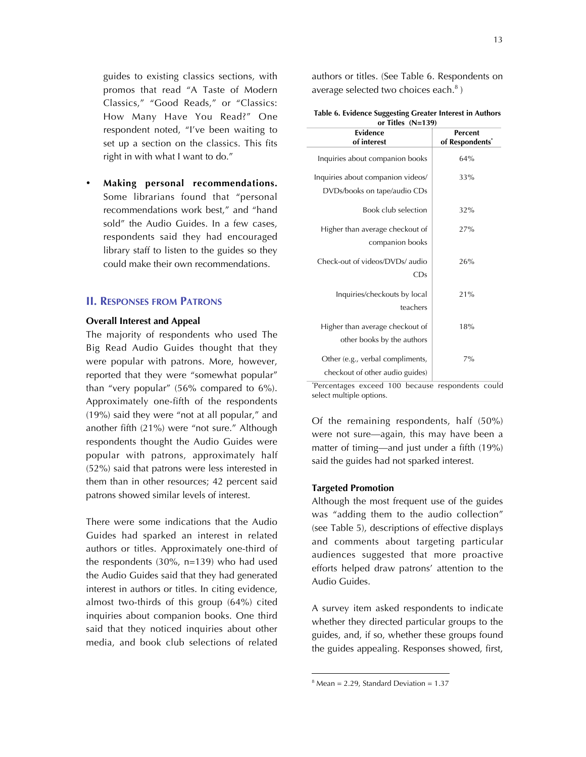guides to existing classics sections, with promos that read "A Taste of Modern Classics," "Good Reads," or "Classics: How Many Have You Read?" One respondent noted, "I've been waiting to set up a section on the classics. This fits right in with what I want to do."

• **Making personal recommendations.** Some librarians found that "personal recommendations work best," and "hand sold" the Audio Guides. In a few cases, respondents said they had encouraged library staff to listen to the guides so they could make their own recommendations.

#### **II. RESPONSES FROM PATRONS**

#### **Overall Interest and Appeal**

The majority of respondents who used The Big Read Audio Guides thought that they were popular with patrons. More, however, reported that they were "somewhat popular" than "very popular" (56% compared to 6%). Approximately one-fifth of the respondents (19%) said they were "not at all popular," and another fifth (21%) were "not sure." Although respondents thought the Audio Guides were popular with patrons, approximately half (52%) said that patrons were less interested in them than in other resources; 42 percent said patrons showed similar levels of interest.

There were some indications that the Audio Guides had sparked an interest in related authors or titles. Approximately one-third of the respondents (30%, n=139) who had used the Audio Guides said that they had generated interest in authors or titles. In citing evidence, almost two-thirds of this group (64%) cited inquiries about companion books. One third said that they noticed inquiries about other media, and book club selections of related authors or titles. (See Table 6. Respondents on average selected two choices each. $8$ )

|                     | Table 6. Evidence Suggesting Greater Interest in Authors |
|---------------------|----------------------------------------------------------|
| or Titles $(N=139)$ |                                                          |

| Evidence<br>of interest                                             | Percent<br>of Respondents <sup>*</sup> |
|---------------------------------------------------------------------|----------------------------------------|
| Inquiries about companion books                                     | 64%                                    |
| Inquiries about companion videos/<br>DVDs/books on tape/audio CDs   | 33%                                    |
| Book club selection                                                 | 32%                                    |
| Higher than average checkout of<br>companion books                  | 27%                                    |
| Check-out of videos/DVDs/ audio<br>CDs                              | 26%                                    |
| Inquiries/checkouts by local<br>teachers                            | 21%                                    |
| Higher than average checkout of<br>other books by the authors       | 18%                                    |
| Other (e.g., verbal compliments,<br>checkout of other audio guides) | $7\%$                                  |

\* Percentages exceed 100 because respondents could select multiple options.

Of the remaining respondents, half (50%) were not sure—again, this may have been a matter of timing—and just under a fifth (19%) said the guides had not sparked interest.

#### **Targeted Promotion**

Although the most frequent use of the guides was "adding them to the audio collection" (see Table 5), descriptions of effective displays and comments about targeting particular audiences suggested that more proactive efforts helped draw patrons' attention to the Audio Guides.

A survey item asked respondents to indicate whether they directed particular groups to the guides, and, if so, whether these groups found the guides appealing. Responses showed, first,

<sup>8</sup> Mean = 2.29, Standard Deviation = 1.37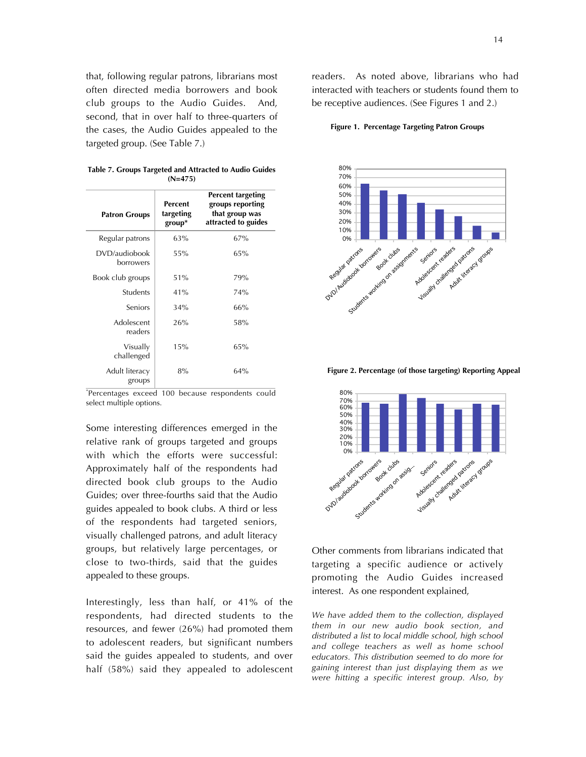that, following regular patrons, librarians most often directed media borrowers and book club groups to the Audio Guides. And, second, that in over half to three-quarters of the cases, the Audio Guides appealed to the targeted group. (See Table 7.)

**Table 7. Groups Targeted and Attracted to Audio Guides (N=475)**

| <b>Patron Groups</b>       | Percent<br>targeting<br>$group^*$ | <b>Percent targeting</b><br>groups reporting<br>that group was<br>attracted to guides |
|----------------------------|-----------------------------------|---------------------------------------------------------------------------------------|
| Regular patrons            | 63%                               | 67%                                                                                   |
| DVD/audiobook<br>borrowers | 55%                               | 65%                                                                                   |
| Book club groups           | 51%                               | 79%                                                                                   |
| <b>Students</b>            | 41%                               | 74%                                                                                   |
| <b>Seniors</b>             | 34%                               | 66%                                                                                   |
| Adolescent<br>readers      | 26%                               | 58%                                                                                   |
| Visually<br>challenged     | 15%                               | 65%                                                                                   |
| Adult literacy<br>groups   | 8%                                | 64%                                                                                   |

\* Percentages exceed 100 because respondents could select multiple options.

Some interesting differences emerged in the relative rank of groups targeted and groups with which the efforts were successful: Approximately half of the respondents had directed book club groups to the Audio Guides; over three-fourths said that the Audio guides appealed to book clubs. A third or less of the respondents had targeted seniors, visually challenged patrons, and adult literacy groups, but relatively large percentages, or close to two-thirds, said that the guides appealed to these groups.

Interestingly, less than half, or 41% of the respondents, had directed students to the resources, and fewer (26%) had promoted them to adolescent readers, but significant numbers said the guides appealed to students, and over half (58%) said they appealed to adolescent

readers. As noted above, librarians who had interacted with teachers or students found them to be receptive audiences. (See Figures 1 and 2.)

**Figure 1. Percentage Targeting Patron Groups**



**Figure 2. Percentage (of those targeting) Reporting Appeal**



Other comments from librarians indicated that targeting a specific audience or actively promoting the Audio Guides increased interest. As one respondent explained,

*We have added them to the collection, displayed them in our new audio book section, and distributed a list to local middle school, high school and college teachers as well as home school educators. This distribution seemed to do more for gaining interest than just displaying them as we were hitting a specific interest group. Also, by*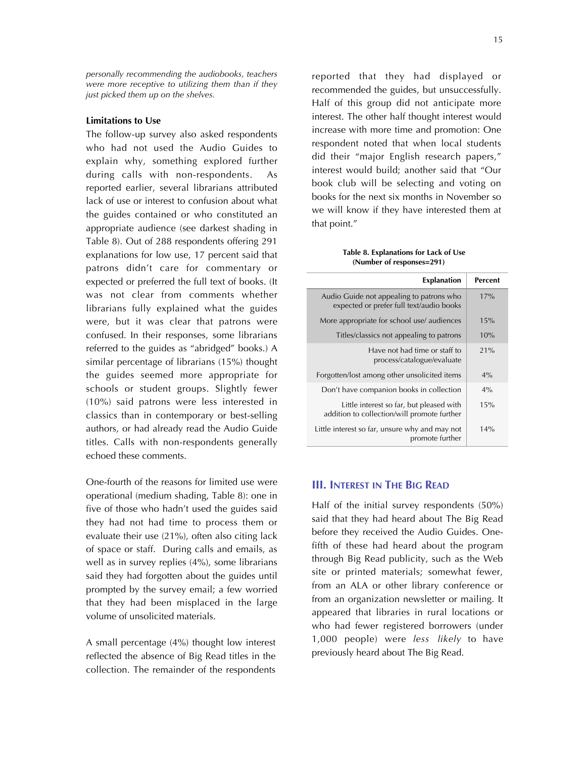*personally recommending the audiobooks, teachers were more receptive to utilizing them than if they just picked them up on the shelves.*

#### **Limitations to Use**

The follow-up survey also asked respondents who had not used the Audio Guides to explain why, something explored further during calls with non-respondents. As reported earlier, several librarians attributed lack of use or interest to confusion about what the guides contained or who constituted an appropriate audience (see darkest shading in Table 8). Out of 288 respondents offering 291 explanations for low use, 17 percent said that patrons didn't care for commentary or expected or preferred the full text of books. (It was not clear from comments whether librarians fully explained what the guides were, but it was clear that patrons were confused. In their responses, some librarians referred to the guides as "abridged" books.) A similar percentage of librarians (15%) thought the guides seemed more appropriate for schools or student groups. Slightly fewer (10%) said patrons were less interested in classics than in contemporary or best-selling authors, or had already read the Audio Guide titles. Calls with non-respondents generally echoed these comments.

One-fourth of the reasons for limited use were operational (medium shading, Table 8): one in five of those who hadn't used the guides said they had not had time to process them or evaluate their use (21%), often also citing lack of space or staff. During calls and emails, as well as in survey replies (4%), some librarians said they had forgotten about the guides until prompted by the survey email; a few worried that they had been misplaced in the large volume of unsolicited materials.

A small percentage (4%) thought low interest reflected the absence of Big Read titles in the collection. The remainder of the respondents

reported that they had displayed or recommended the guides, but unsuccessfully. Half of this group did not anticipate more interest. The other half thought interest would increase with more time and promotion: One respondent noted that when local students did their "major English research papers," interest would build; another said that "Our book club will be selecting and voting on books for the next six months in November so we will know if they have interested them at that point."

 **Table 8. Explanations for Lack of Use (Number of responses=291)**

| <b>Explanation</b>                                                                      | Percent |
|-----------------------------------------------------------------------------------------|---------|
| Audio Guide not appealing to patrons who<br>expected or prefer full text/audio books    | 17%     |
| More appropriate for school use/ audiences                                              | 15%     |
| Titles/classics not appealing to patrons                                                | 10%     |
| Have not had time or staff to<br>process/catalogue/evaluate                             | 21%     |
| Forgotten/lost among other unsolicited items                                            | $4\%$   |
| Don't have companion books in collection                                                | $4\%$   |
| Little interest so far, but pleased with<br>addition to collection/will promote further | 15%     |
| Little interest so far, unsure why and may not<br>promote further                       | 14%     |

#### **III. INTEREST IN THE BIG READ**

Half of the initial survey respondents (50%) said that they had heard about The Big Read before they received the Audio Guides. Onefifth of these had heard about the program through Big Read publicity, such as the Web site or printed materials; somewhat fewer, from an ALA or other library conference or from an organization newsletter or mailing. It appeared that libraries in rural locations or who had fewer registered borrowers (under 1,000 people) were *less likely* to have previously heard about The Big Read.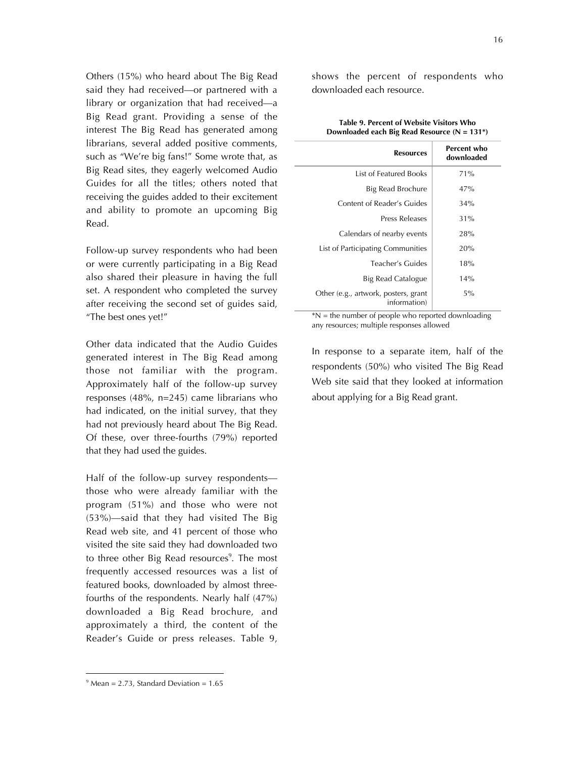Others (15%) who heard about The Big Read said they had received—or partnered with a library or organization that had received—a Big Read grant. Providing a sense of the interest The Big Read has generated among librarians, several added positive comments, such as "We're big fans!" Some wrote that, as Big Read sites, they eagerly welcomed Audio Guides for all the titles; others noted that receiving the guides added to their excitement and ability to promote an upcoming Big Read.

Follow-up survey respondents who had been or were currently participating in a Big Read also shared their pleasure in having the full set. A respondent who completed the survey after receiving the second set of guides said, "The best ones yet!"

Other data indicated that the Audio Guides generated interest in The Big Read among those not familiar with the program. Approximately half of the follow-up survey responses (48%, n=245) came librarians who had indicated, on the initial survey, that they had not previously heard about The Big Read. Of these, over three-fourths (79%) reported that they had used the guides.

Half of the follow-up survey respondents those who were already familiar with the program (51%) and those who were not (53%)—said that they had visited The Big Read web site, and 41 percent of those who visited the site said they had downloaded two to three other Big Read resources<sup>9</sup>. The most frequently accessed resources was a list of featured books, downloaded by almost threefourths of the respondents. Nearly half (47%) downloaded a Big Read brochure, and approximately a third, the content of the Reader's Guide or press releases. Table 9,

| <b>Resources</b>                                     | Percent who<br>downloaded |
|------------------------------------------------------|---------------------------|
| <b>List of Featured Books</b>                        | 71%                       |
| Big Read Brochure                                    | 47%                       |
| Content of Reader's Guides                           | 34%                       |
| Press Releases                                       | 31%                       |
| Calendars of nearby events                           | 28%                       |
| List of Participating Communities                    | 20%                       |
| Teacher's Guides                                     | 18%                       |
| Big Read Catalogue                                   | 14%                       |
| Other (e.g., artwork, posters, grant<br>information) | 5%                        |

**Table 9. Percent of Website Visitors Who Downloaded each Big Read Resource (N = 131\*)**

 $*N$  = the number of people who reported downloading any resources; multiple responses allowed

In response to a separate item, half of the respondents (50%) who visited The Big Read Web site said that they looked at information about applying for a Big Read grant.

shows the percent of respondents who downloaded each resource.

 $9$  Mean = 2.73, Standard Deviation = 1.65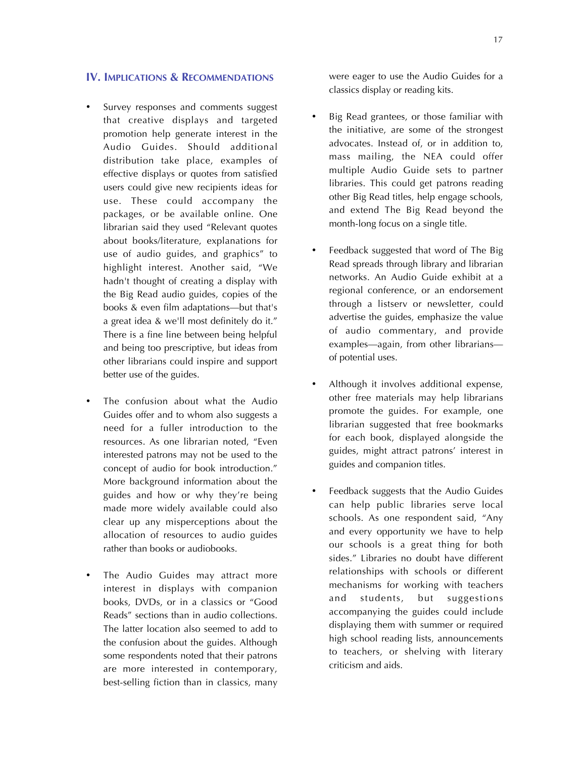#### **IV. IMPLICATIONS & RECOMMENDATIONS**

- Survey responses and comments suggest that creative displays and targeted promotion help generate interest in the Audio Guides. Should additional distribution take place, examples of effective displays or quotes from satisfied users could give new recipients ideas for use. These could accompany the packages, or be available online. One librarian said they used "Relevant quotes about books/literature, explanations for use of audio guides, and graphics" to highlight interest. Another said, "We hadn't thought of creating a display with the Big Read audio guides, copies of the books & even film adaptations—but that's a great idea & we'll most definitely do it." There is a fine line between being helpful and being too prescriptive, but ideas from other librarians could inspire and support better use of the guides.
- The confusion about what the Audio Guides offer and to whom also suggests a need for a fuller introduction to the resources. As one librarian noted, "Even interested patrons may not be used to the concept of audio for book introduction." More background information about the guides and how or why they're being made more widely available could also clear up any misperceptions about the allocation of resources to audio guides rather than books or audiobooks.
- The Audio Guides may attract more interest in displays with companion books, DVDs, or in a classics or "Good Reads" sections than in audio collections. The latter location also seemed to add to the confusion about the guides. Although some respondents noted that their patrons are more interested in contemporary, best-selling fiction than in classics, many

were eager to use the Audio Guides for a classics display or reading kits.

- Big Read grantees, or those familiar with the initiative, are some of the strongest advocates. Instead of, or in addition to, mass mailing, the NEA could offer multiple Audio Guide sets to partner libraries. This could get patrons reading other Big Read titles, help engage schools, and extend The Big Read beyond the month-long focus on a single title.
- Feedback suggested that word of The Big Read spreads through library and librarian networks. An Audio Guide exhibit at a regional conference, or an endorsement through a listserv or newsletter, could advertise the guides, emphasize the value of audio commentary, and provide examples—again, from other librarians of potential uses.
- Although it involves additional expense, other free materials may help librarians promote the guides. For example, one librarian suggested that free bookmarks for each book, displayed alongside the guides, might attract patrons' interest in guides and companion titles.
- Feedback suggests that the Audio Guides can help public libraries serve local schools. As one respondent said, "Any and every opportunity we have to help our schools is a great thing for both sides." Libraries no doubt have different relationships with schools or different mechanisms for working with teachers and students, but suggestions accompanying the guides could include displaying them with summer or required high school reading lists, announcements to teachers, or shelving with literary criticism and aids.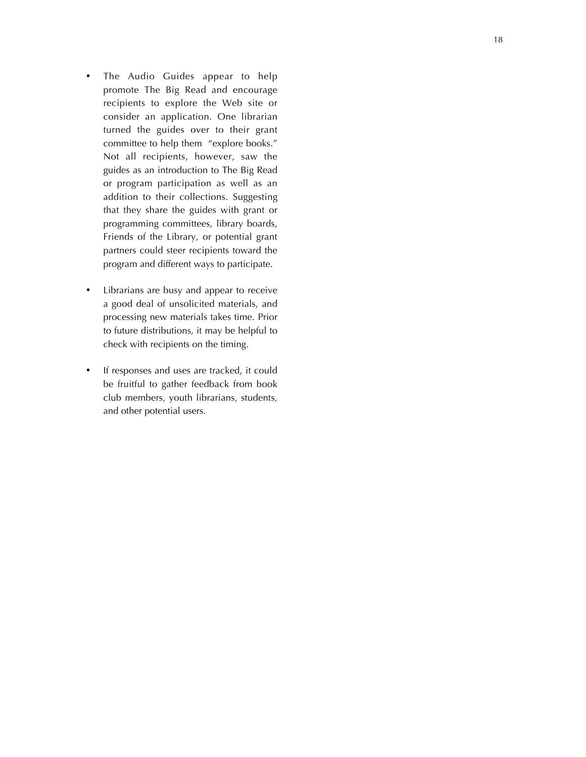- The Audio Guides appear to help promote The Big Read and encourage recipients to explore the Web site or consider an application. One librarian turned the guides over to their grant committee to help them "explore books." Not all recipients, however, saw the guides as an introduction to The Big Read or program participation as well as an addition to their collections. Suggesting that they share the guides with grant or programming committees, library boards, Friends of the Library, or potential grant partners could steer recipients toward the program and different ways to participate.
- Librarians are busy and appear to receive a good deal of unsolicited materials, and processing new materials takes time. Prior to future distributions, it may be helpful to check with recipients on the timing.
- If responses and uses are tracked, it could be fruitful to gather feedback from book club members, youth librarians, students, and other potential users.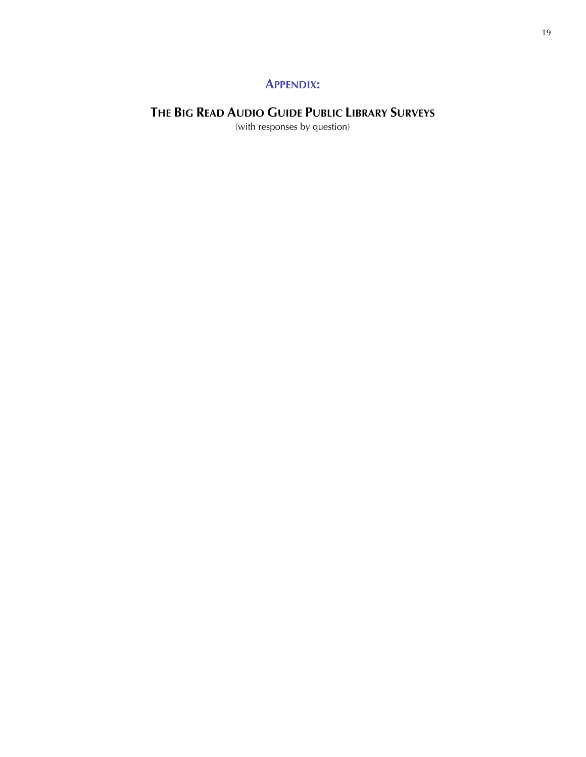### **APPENDIX:**

## **THE BIG READ AUDIO GUIDE PUBLIC LIBRARY SURVEYS**

(with responses by question)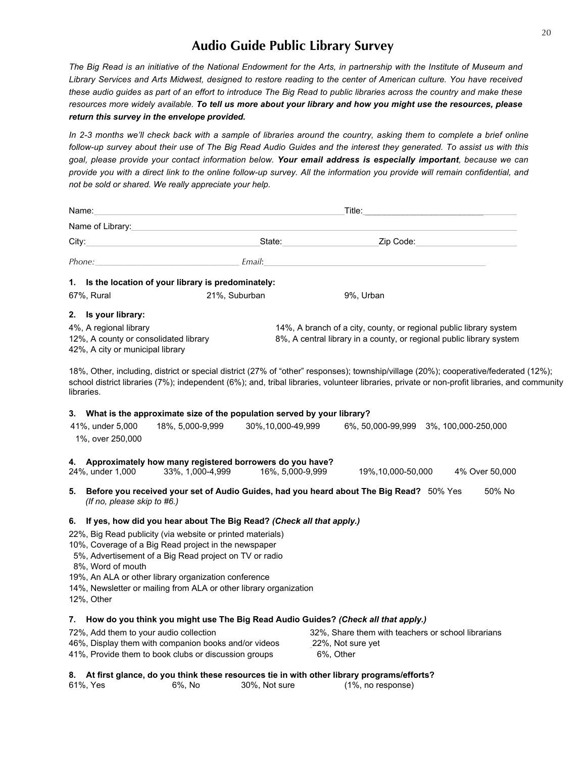## **Audio Guide Public Library Survey**

*The Big Read is an initiative of the National Endowment for the Arts, in partnership with the Institute of Museum and Library Services and Arts Midwest, designed to restore reading to the center of American culture. You have received these audio guides as part of an effort to introduce The Big Read to public libraries across the country and make these resources more widely available. To tell us more about your library and how you might use the resources, please return this survey in the envelope provided.*

*In 2-3 months we'll check back with a sample of libraries around the country, asking them to complete a brief online follow-up survey about their use of The Big Read Audio Guides and the interest they generated. To assist us with this goal, please provide your contact information below. Your email address is especially important, because we can provide you with a direct link to the online follow-up survey. All the information you provide will remain confidential, and not be sold or shared. We really appreciate your help.*

| Name:                                                                                               | <u> 1980 - Johann Barbara, martxa alemaniar argumento este alemaniar alemaniar alemaniar alemaniar alemaniar al</u> |                      |                                                                                                                                                                                                                                                                                      |                |
|-----------------------------------------------------------------------------------------------------|---------------------------------------------------------------------------------------------------------------------|----------------------|--------------------------------------------------------------------------------------------------------------------------------------------------------------------------------------------------------------------------------------------------------------------------------------|----------------|
|                                                                                                     |                                                                                                                     |                      |                                                                                                                                                                                                                                                                                      |                |
|                                                                                                     |                                                                                                                     |                      |                                                                                                                                                                                                                                                                                      |                |
|                                                                                                     |                                                                                                                     |                      | Phone: Email: Email:                                                                                                                                                                                                                                                                 |                |
|                                                                                                     | 1. Is the location of your library is predominately:                                                                |                      |                                                                                                                                                                                                                                                                                      |                |
| 67%, Rural                                                                                          |                                                                                                                     | 21%, Suburban        | 9%, Urban                                                                                                                                                                                                                                                                            |                |
| 2. Is your library:                                                                                 |                                                                                                                     |                      |                                                                                                                                                                                                                                                                                      |                |
| 4%, A regional library<br>12%, A county or consolidated library<br>42%, A city or municipal library |                                                                                                                     |                      | 14%, A branch of a city, county, or regional public library system<br>8%, A central library in a county, or regional public library system                                                                                                                                           |                |
| libraries.                                                                                          |                                                                                                                     |                      | 18%, Other, including, district or special district (27% of "other" responses); township/village (20%); cooperative/federated (12%);<br>school district libraries (7%); independent (6%); and, tribal libraries, volunteer libraries, private or non-profit libraries, and community |                |
| 3.<br>41%, under 5,000<br>1%, over 250,000                                                          | What is the approximate size of the population served by your library?<br>18%, 5,000-9,999                          | 30%, 10, 000-49, 999 | 6%, 50,000-99,999 3%, 100,000-250,000                                                                                                                                                                                                                                                |                |
| 4.<br>24%, under 1,000                                                                              | Approximately how many registered borrowers do you have?<br>33%, 1,000-4,999                                        | 16%, 5,000-9,999     | 19%, 10, 000-50, 000                                                                                                                                                                                                                                                                 | 4% Over 50,000 |
| 5.<br>(If no, please skip to #6.)                                                                   |                                                                                                                     |                      | Before you received your set of Audio Guides, had you heard about The Big Read? 50% Yes                                                                                                                                                                                              | 50% No         |
| 6.                                                                                                  | If yes, how did you hear about The Big Read? (Check all that apply.)                                                |                      |                                                                                                                                                                                                                                                                                      |                |
|                                                                                                     | 22%, Big Read publicity (via website or printed materials)                                                          |                      |                                                                                                                                                                                                                                                                                      |                |
|                                                                                                     | 10%, Coverage of a Big Read project in the newspaper                                                                |                      |                                                                                                                                                                                                                                                                                      |                |
|                                                                                                     | 5%, Advertisement of a Big Read project on TV or radio                                                              |                      |                                                                                                                                                                                                                                                                                      |                |
| 8%, Word of mouth                                                                                   | 19%, An ALA or other library organization conference                                                                |                      |                                                                                                                                                                                                                                                                                      |                |
| 12%, Other                                                                                          | 14%, Newsletter or mailing from ALA or other library organization                                                   |                      |                                                                                                                                                                                                                                                                                      |                |
|                                                                                                     |                                                                                                                     |                      | 7. How do you think you might use The Big Read Audio Guides? (Check all that apply.)                                                                                                                                                                                                 |                |
| 72%, Add them to your audio collection                                                              |                                                                                                                     |                      | 32%. Share them with teachers or school librarians                                                                                                                                                                                                                                   |                |
|                                                                                                     | 46%, Display them with companion books and/or videos                                                                |                      | 22%, Not sure yet                                                                                                                                                                                                                                                                    |                |
|                                                                                                     | 41%, Provide them to book clubs or discussion groups                                                                |                      | 6%, Other                                                                                                                                                                                                                                                                            |                |
|                                                                                                     |                                                                                                                     |                      | 8. At first glance, do you think these resources tie in with other library programs/efforts?                                                                                                                                                                                         |                |
| 61%, Yes                                                                                            | 6%, No                                                                                                              | 30%, Not sure        | $(1\%$ , no response)                                                                                                                                                                                                                                                                |                |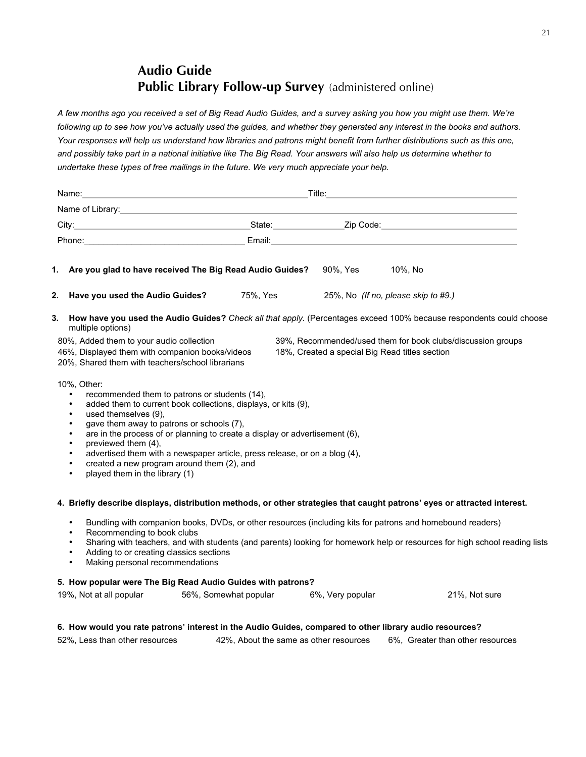## **Audio Guide Public Library Follow-up Survey** (administered online)

*A few months ago you received a set of Big Read Audio Guides, and a survey asking you how you might use them. We're following up to see how you've actually used the guides, and whether they generated any interest in the books and authors. Your responses will help us understand how libraries and patrons might benefit from further distributions such as this one, and possibly take part in a national initiative like The Big Read. Your answers will also help us determine whether to undertake these types of free mailings in the future. We very much appreciate your help.*

|    | Name:                                                                                                                                                                                                                                                                                                                                                                                                                                                                                                          |                                        |                     |                                                                                                                                                                                                                                |  |  |
|----|----------------------------------------------------------------------------------------------------------------------------------------------------------------------------------------------------------------------------------------------------------------------------------------------------------------------------------------------------------------------------------------------------------------------------------------------------------------------------------------------------------------|----------------------------------------|---------------------|--------------------------------------------------------------------------------------------------------------------------------------------------------------------------------------------------------------------------------|--|--|
|    | Name of Library: Name of Library:                                                                                                                                                                                                                                                                                                                                                                                                                                                                              |                                        |                     |                                                                                                                                                                                                                                |  |  |
|    | City: City: City: City: City: City: City: City: City: City: City: City: City: City: City: City: City: City: City: City: City: City: City: City: City: City: City: City: City: City: City: City: City: City: City: City: City:                                                                                                                                                                                                                                                                                  |                                        |                     |                                                                                                                                                                                                                                |  |  |
|    | Phone: Note: The Commission of the Commission of the Commission of the Commission of the Commission of the Commission of the Commission of the Commission of the Commission of the Commission of the Commission of the Commiss                                                                                                                                                                                                                                                                                 |                                        |                     | Email: Email: Email: Email: Email: Email: Email: Email: Email: Email: Email: Email: Email: Email: Email: Email: Email: Email: Email: Email: Email: Email: Email: Email: Email: Email: Email: Email: Email: Email: Email: Email |  |  |
| 1. | Are you glad to have received The Big Read Audio Guides?                                                                                                                                                                                                                                                                                                                                                                                                                                                       |                                        | 90%, Yes    10%, No |                                                                                                                                                                                                                                |  |  |
| 2. | Have you used the Audio Guides? 75%, Yes 25%, No (If no, please skip to #9.)                                                                                                                                                                                                                                                                                                                                                                                                                                   |                                        |                     |                                                                                                                                                                                                                                |  |  |
| 3. | multiple options)                                                                                                                                                                                                                                                                                                                                                                                                                                                                                              |                                        |                     | How have you used the Audio Guides? Check all that apply. (Percentages exceed 100% because respondents could choose                                                                                                            |  |  |
|    | 80%, Added them to your audio collection<br>46%, Displayed them with companion books/videos<br>20%, Shared them with teachers/school librarians                                                                                                                                                                                                                                                                                                                                                                |                                        |                     | 39%, Recommended/used them for book clubs/discussion groups<br>18%, Created a special Big Read titles section                                                                                                                  |  |  |
|    | 10%, Other:<br>recommended them to patrons or students (14),<br>$\bullet$<br>added them to current book collections, displays, or kits (9),<br>$\bullet$<br>used themselves (9),<br>gave them away to patrons or schools (7),<br>are in the process of or planning to create a display or advertisement (6),<br>previewed them (4),<br>advertised them with a newspaper article, press release, or on a blog (4),<br>created a new program around them (2), and<br>played them in the library (1)<br>$\bullet$ |                                        |                     |                                                                                                                                                                                                                                |  |  |
|    | 4. Briefly describe displays, distribution methods, or other strategies that caught patrons' eyes or attracted interest.                                                                                                                                                                                                                                                                                                                                                                                       |                                        |                     |                                                                                                                                                                                                                                |  |  |
|    | Bundling with companion books, DVDs, or other resources (including kits for patrons and homebound readers)<br>Recommending to book clubs<br>Sharing with teachers, and with students (and parents) looking for homework help or resources for high school reading lists<br>Adding to or creating classics sections<br>$\bullet$<br>Making personal recommendations<br>$\bullet$                                                                                                                                |                                        |                     |                                                                                                                                                                                                                                |  |  |
|    | 5. How popular were The Big Read Audio Guides with patrons?<br>19%, Not at all popular                                                                                                                                                                                                                                                                                                                                                                                                                         | 56%, Somewhat popular 6%, Very popular |                     | 21%, Not sure                                                                                                                                                                                                                  |  |  |

#### **6. How would you rate patrons' interest in the Audio Guides, compared to other library audio resources?**

52%, Less than other resources 42%, About the same as other resources 6%, Greater than other resources